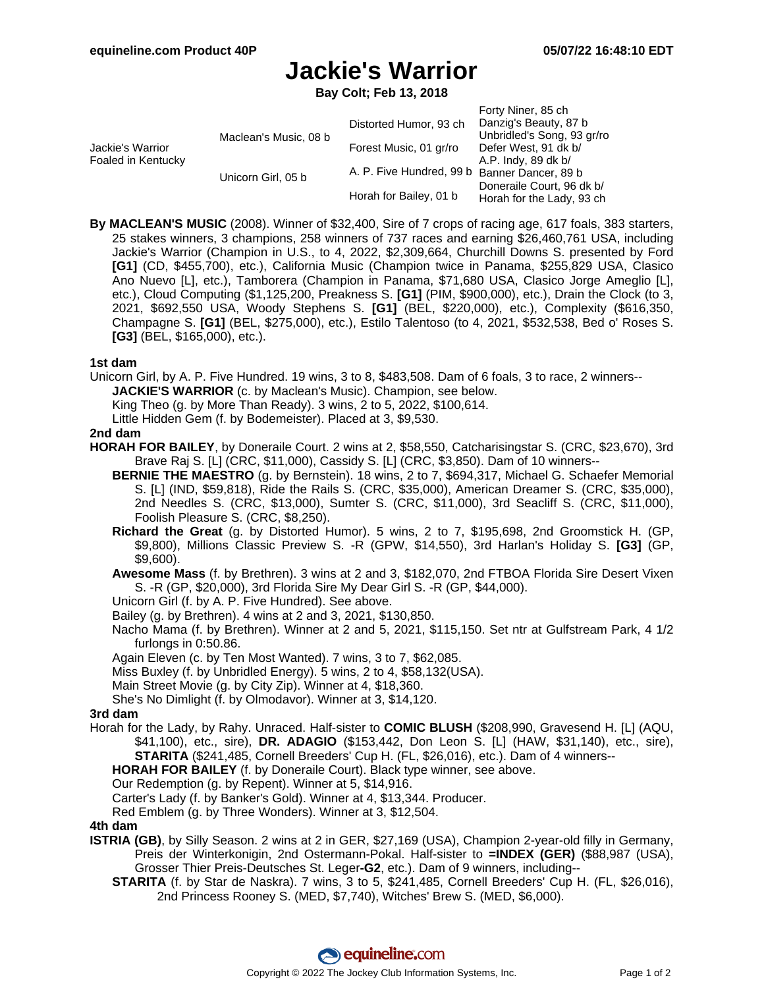Forty Niner, 85 ch

# **Jackie's Warrior**

**Bay Colt; Feb 13, 2018**

|                                        |                       |                                              | FUILY INITIBI, OD CIT      |
|----------------------------------------|-----------------------|----------------------------------------------|----------------------------|
| Jackie's Warrior<br>Foaled in Kentucky | Maclean's Music, 08 b | Distorted Humor, 93 ch                       | Danzig's Beauty, 87 b      |
|                                        |                       |                                              | Unbridled's Song, 93 gr/ro |
|                                        |                       | Forest Music, 01 gr/ro                       | Defer West, 91 dk b/       |
|                                        | Unicorn Girl, 05 b    |                                              | A.P. Indy, 89 dk b/        |
|                                        |                       | A. P. Five Hundred, 99 b Banner Dancer, 89 b |                            |
|                                        |                       | Horah for Bailey, 01 b                       | Doneraile Court, 96 dk b/  |
|                                        |                       |                                              | Horah for the Lady, 93 ch  |

**By MACLEAN'S MUSIC** (2008). Winner of \$32,400, Sire of 7 crops of racing age, 617 foals, 383 starters, 25 stakes winners, 3 champions, 258 winners of 737 races and earning \$26,460,761 USA, including Jackie's Warrior (Champion in U.S., to 4, 2022, \$2,309,664, Churchill Downs S. presented by Ford **[G1]** (CD, \$455,700), etc.), California Music (Champion twice in Panama, \$255,829 USA, Clasico Ano Nuevo [L], etc.), Tamborera (Champion in Panama, \$71,680 USA, Clasico Jorge Ameglio [L], etc.), Cloud Computing (\$1,125,200, Preakness S. **[G1]** (PIM, \$900,000), etc.), Drain the Clock (to 3, 2021, \$692,550 USA, Woody Stephens S. **[G1]** (BEL, \$220,000), etc.), Complexity (\$616,350, Champagne S. **[G1]** (BEL, \$275,000), etc.), Estilo Talentoso (to 4, 2021, \$532,538, Bed o' Roses S. **[G3]** (BEL, \$165,000), etc.).

#### **1st dam**

Unicorn Girl, by A. P. Five Hundred. 19 wins, 3 to 8, \$483,508. Dam of 6 foals, 3 to race, 2 winners--

**JACKIE'S WARRIOR** (c. by Maclean's Music). Champion, see below.

King Theo (g. by More Than Ready). 3 wins, 2 to 5, 2022, \$100,614.

Little Hidden Gem (f. by Bodemeister). Placed at 3, \$9,530.

#### **2nd dam**

**HORAH FOR BAILEY**, by Doneraile Court. 2 wins at 2, \$58,550, Catcharisingstar S. (CRC, \$23,670), 3rd Brave Raj S. [L] (CRC, \$11,000), Cassidy S. [L] (CRC, \$3,850). Dam of 10 winners--

- **BERNIE THE MAESTRO** (g. by Bernstein). 18 wins, 2 to 7, \$694,317, Michael G. Schaefer Memorial S. [L] (IND, \$59,818), Ride the Rails S. (CRC, \$35,000), American Dreamer S. (CRC, \$35,000), 2nd Needles S. (CRC, \$13,000), Sumter S. (CRC, \$11,000), 3rd Seacliff S. (CRC, \$11,000), Foolish Pleasure S. (CRC, \$8,250).
- **Richard the Great** (g. by Distorted Humor). 5 wins, 2 to 7, \$195,698, 2nd Groomstick H. (GP, \$9,800), Millions Classic Preview S. -R (GPW, \$14,550), 3rd Harlan's Holiday S. **[G3]** (GP, \$9,600).
- **Awesome Mass** (f. by Brethren). 3 wins at 2 and 3, \$182,070, 2nd FTBOA Florida Sire Desert Vixen S. -R (GP, \$20,000), 3rd Florida Sire My Dear Girl S. -R (GP, \$44,000).
- Unicorn Girl (f. by A. P. Five Hundred). See above.

Bailey (g. by Brethren). 4 wins at 2 and 3, 2021, \$130,850.

Nacho Mama (f. by Brethren). Winner at 2 and 5, 2021, \$115,150. Set ntr at Gulfstream Park, 4 1/2 furlongs in 0:50.86.

Again Eleven (c. by Ten Most Wanted). 7 wins, 3 to 7, \$62,085.

- Miss Buxley (f. by Unbridled Energy). 5 wins, 2 to 4, \$58,132(USA).
- Main Street Movie (g. by City Zip). Winner at 4, \$18,360.
- She's No Dimlight (f. by Olmodavor). Winner at 3, \$14,120.

## **3rd dam**

Horah for the Lady, by Rahy. Unraced. Half-sister to **COMIC BLUSH** (\$208,990, Gravesend H. [L] (AQU, \$41,100), etc., sire), **DR. ADAGIO** (\$153,442, Don Leon S. [L] (HAW, \$31,140), etc., sire), **STARITA** (\$241,485, Cornell Breeders' Cup H. (FL, \$26,016), etc.). Dam of 4 winners--

**HORAH FOR BAILEY** (f. by Doneraile Court). Black type winner, see above.

Our Redemption (g. by Repent). Winner at 5, \$14,916.

Carter's Lady (f. by Banker's Gold). Winner at 4, \$13,344. Producer.

Red Emblem (g. by Three Wonders). Winner at 3, \$12,504.

## **4th dam**

- **ISTRIA (GB)**, by Silly Season. 2 wins at 2 in GER, \$27,169 (USA), Champion 2-year-old filly in Germany, Preis der Winterkonigin, 2nd Ostermann-Pokal. Half-sister to **=INDEX (GER)** (\$88,987 (USA), Grosser Thier Preis-Deutsches St. Leger**-G2**, etc.). Dam of 9 winners, including--
	- **STARITA** (f. by Star de Naskra). 7 wins, 3 to 5, \$241,485, Cornell Breeders' Cup H. (FL, \$26,016), 2nd Princess Rooney S. (MED, \$7,740), Witches' Brew S. (MED, \$6,000).